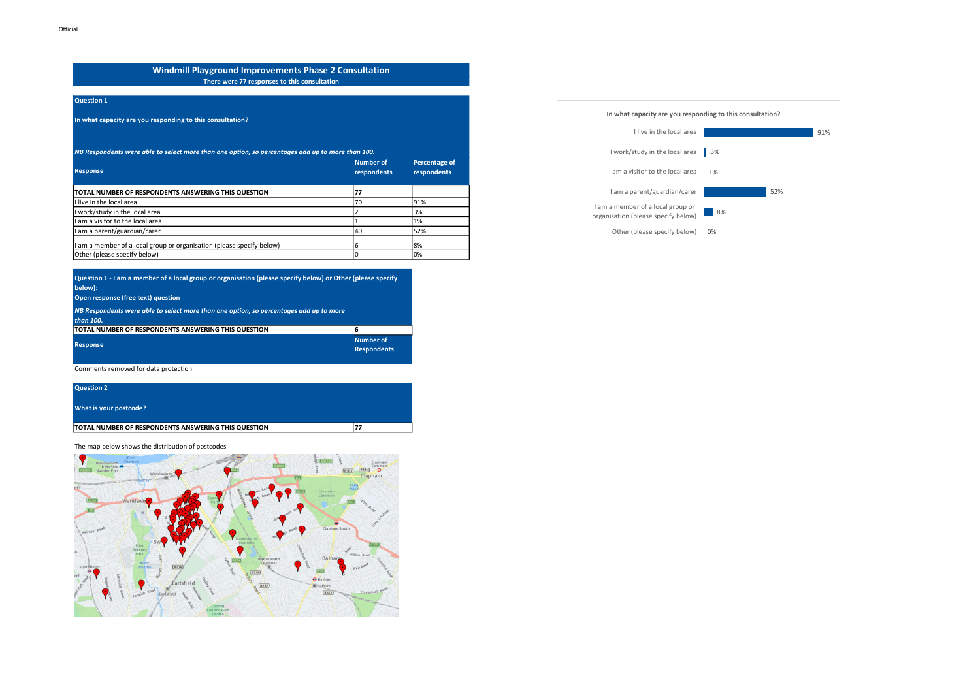## Windmill Playground Improvements Phase 2 Consultation There were 77 responses to this consultation

### Question 1

In what capacity are you responding to this consultation?

| NB Respondents were able to select more than one option, so percentages add up to more than 100. |                                                                 |     |  |
|--------------------------------------------------------------------------------------------------|-----------------------------------------------------------------|-----|--|
| <b>Response</b>                                                                                  | Number of<br><b>Percentage of</b><br>respondents<br>respondents |     |  |
| TOTAL NUMBER OF RESPONDENTS ANSWERING THIS QUESTION                                              | 77                                                              |     |  |
| I live in the local area                                                                         | 70                                                              | 91% |  |
| work/study in the local area                                                                     |                                                                 | 3%  |  |
| I am a visitor to the local area                                                                 |                                                                 | 1%  |  |
| am a parent/guardian/carer                                                                       | 40                                                              | 52% |  |
| am a member of a local group or organisation (please specify below)                              | 6                                                               | 8%  |  |
| Other (please specify below)                                                                     |                                                                 | 10% |  |

| Question 1 - I am a member of a local group or organisation (please specify below) or Other (please specify<br>below): |                                        |
|------------------------------------------------------------------------------------------------------------------------|----------------------------------------|
| Open response (free text) question                                                                                     |                                        |
| NB Respondents were able to select more than one option, so percentages add up to more<br>than 100.                    |                                        |
| TOTAL NUMBER OF RESPONDENTS ANSWERING THIS QUESTION                                                                    | 16                                     |
| <b>Response</b>                                                                                                        | <b>Number of</b><br><b>Respondents</b> |

Comments removed for data protection

| <b>Question 2</b>                                   |     |
|-----------------------------------------------------|-----|
| What is your postcode?                              |     |
| TOTAL NUMBER OF RESPONDENTS ANSWERING THIS QUESTION | 177 |

The map below shows the distribution of postcodes



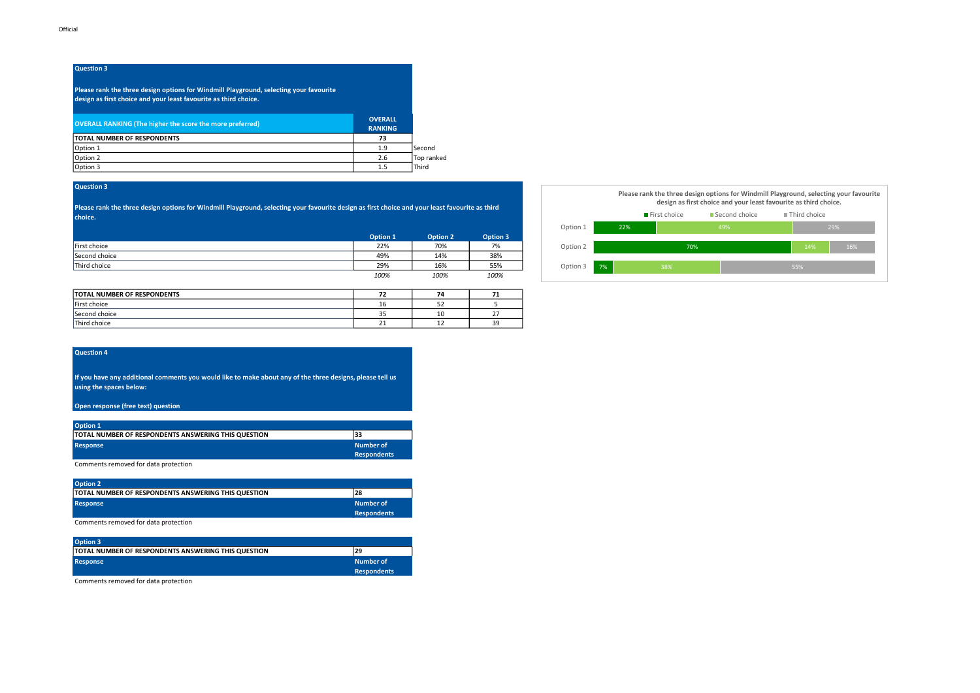# Question 3

Please rank the three design options for Windmill Playground, selecting your favourite design as first choice and your least favourite as third choice.

| <b>OVERALL RANKING (The higher the score the more preferred)</b> | <b>OVERALL</b><br><b>RANKING</b> |               |
|------------------------------------------------------------------|----------------------------------|---------------|
| <b>TOTAL NUMBER OF RESPONDENTS</b>                               | 73                               |               |
| Option 1                                                         | 1.9                              | <b>Second</b> |
| Option 2                                                         | 2.6                              | Top ranked    |
| Option 3                                                         | 1.5                              | Third         |

### Question 3

Please rank the three design options for Windmill Playground, selecting your favourite design as first choice and your least favourite as third choice.

|               | Option 1 | Option 2 | Option 3 |
|---------------|----------|----------|----------|
| First choice  | 22%      | 70%      | 7%       |
| Second choice | 49%      | 14%      | 38%      |
| Third choice  | 29%      | 16%      | 55%      |
|               | 100%     | 100%     | 100%     |

| TOTAL NUMBER OF RESPONDENTS |     | 74 |               |
|-----------------------------|-----|----|---------------|
| First choice                | TO  | ےر |               |
| Second choice               | ر ر | 10 |               |
| Third choice                |     | -- | $\sim$<br>ـ ب |



#### Question 4

If you have any additional comments you would like to make about any of the three designs, please tell us using the spaces below:

#### Open response (free text) question

| Option 1                                                   |                                 |
|------------------------------------------------------------|---------------------------------|
| TOTAL NUMBER OF RESPONDENTS ANSWERING THIS QUESTION<br>133 |                                 |
| Response                                                   | Number of<br><b>Respondents</b> |

Comments removed for data protection

| <b>Option 2</b>                                             |                    |
|-------------------------------------------------------------|--------------------|
| <b>ITOTAL NUMBER OF RESPONDENTS ANSWERING THIS QUESTION</b> | 28                 |
| <b>Response</b>                                             | Number of          |
|                                                             | <b>Respondents</b> |

Comments removed for data protection

| <b>Option 3</b>                                     |                    |
|-----------------------------------------------------|--------------------|
| TOTAL NUMBER OF RESPONDENTS ANSWERING THIS QUESTION | 29                 |
| <b>Response</b>                                     | Number of          |
|                                                     | <b>Respondents</b> |

Comments removed for data protection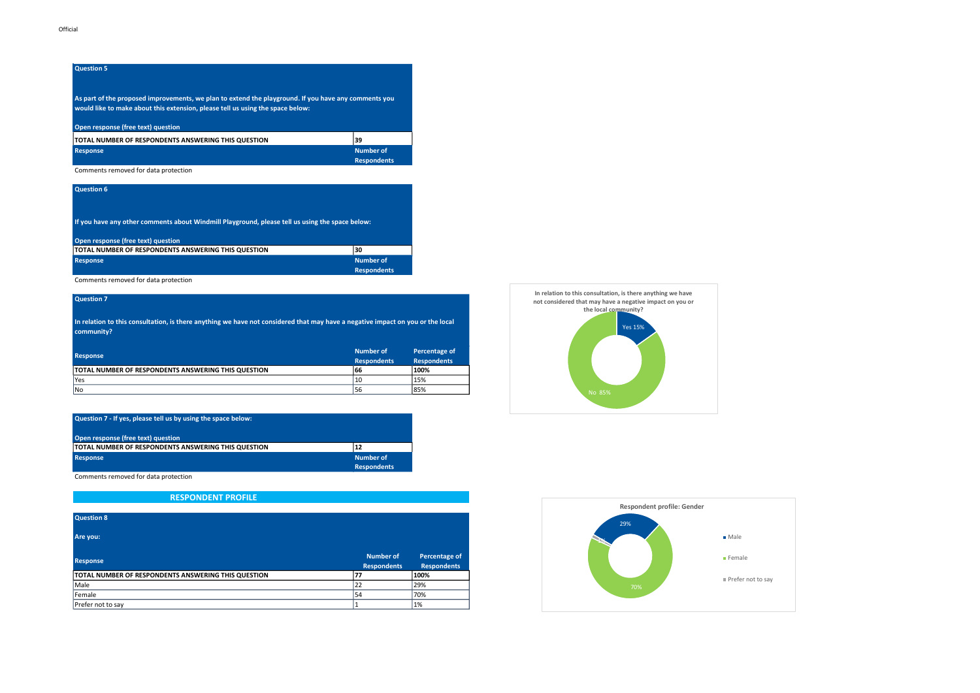As part of the proposed improvements, we plan to extend the playground. If you have any comments you would like to make about this extension, please tell us using the space below:

### Open response (free text) question

| TOTAL NUMBER OF RESPONDENTS ANSWERING THIS QUESTION | 39                 |
|-----------------------------------------------------|--------------------|
| <b>Response</b>                                     | Number of          |
|                                                     | <b>Respondents</b> |

#### Comments removed for data protection

| Question 6                                                                                                                            |                                        |
|---------------------------------------------------------------------------------------------------------------------------------------|----------------------------------------|
| If you have any other comments about Windmill Playground, please tell us using the space below:<br>Open response (free text) question |                                        |
|                                                                                                                                       |                                        |
| TOTAL NUMBER OF RESPONDENTS ANSWERING THIS QUESTION                                                                                   | 130                                    |
| <b>Response</b>                                                                                                                       | <b>Number of</b><br><b>Respondents</b> |

Comments removed for data protection

### Question 7

In relation to this consultation, is there anything we have not considered that may have a negative impact on you or the local community?

| Response                                            | Number of<br><b>Respondents</b> | Percentage of<br><b>Respondents</b> |
|-----------------------------------------------------|---------------------------------|-------------------------------------|
| TOTAL NUMBER OF RESPONDENTS ANSWERING THIS QUESTION | 66                              | 100%                                |
| <b>Yes</b>                                          | 10                              | 15%                                 |
| lNo                                                 | 56                              | 85%                                 |

| Question 7 - If yes, please tell us by using the space below: |                                 |
|---------------------------------------------------------------|---------------------------------|
| Open response (free text) question                            |                                 |
| TOTAL NUMBER OF RESPONDENTS ANSWERING THIS QUESTION           | 12                              |
| <b>Response</b>                                               | Number of<br><b>Respondents</b> |

Comments removed for data protection

# RESPONDENT PROFILE

| <b>Question 8</b>                                   |                                        |                                     |
|-----------------------------------------------------|----------------------------------------|-------------------------------------|
| Are you:                                            |                                        |                                     |
| <b>Response</b>                                     | <b>Number of</b><br><b>Respondents</b> | Percentage of<br><b>Respondents</b> |
| TOTAL NUMBER OF RESPONDENTS ANSWERING THIS QUESTION |                                        | 100%                                |
| <i>Male</i>                                         | 22                                     | 29%                                 |
| Female                                              | 54                                     | 70%                                 |
| Prefer not to say                                   |                                        | 1%                                  |



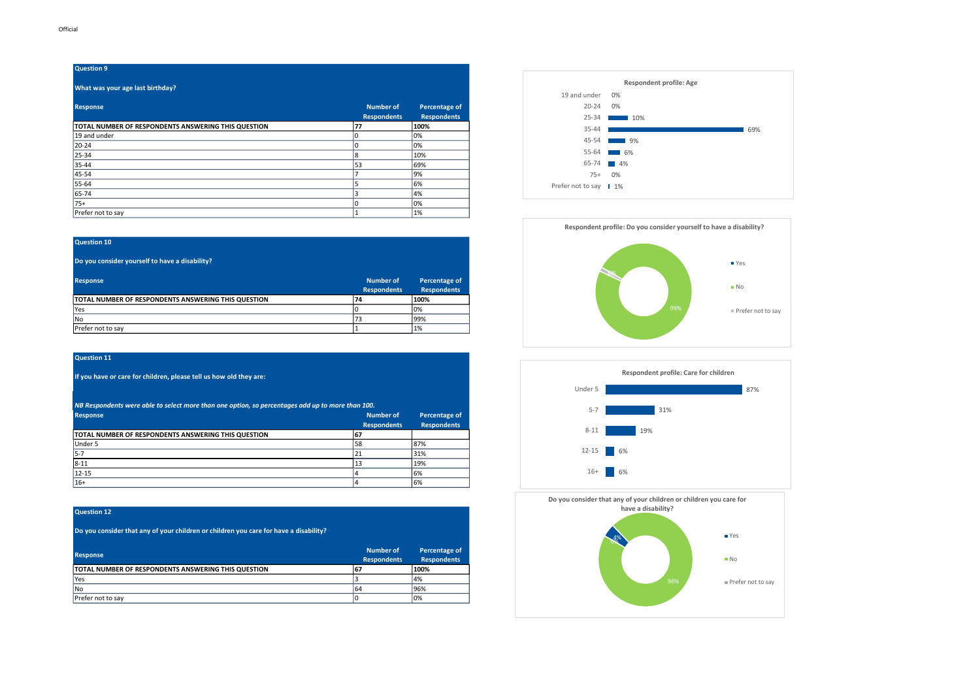### What was your age last birthday?

| <b>Response</b>                                     | <b>Number of</b><br><b>Respondents</b> | Percentage of<br><b>Respondents</b> |
|-----------------------------------------------------|----------------------------------------|-------------------------------------|
| TOTAL NUMBER OF RESPONDENTS ANSWERING THIS QUESTION | 77                                     | 100%                                |
| 19 and under                                        |                                        | 0%                                  |
| 20-24                                               |                                        | 0%                                  |
| 25-34                                               | 8                                      | 10%                                 |
| 35-44                                               | 53                                     | 69%                                 |
| 45-54                                               |                                        | 9%                                  |
| 55-64                                               | 5                                      | 6%                                  |
| 65-74                                               | 3                                      | 4%                                  |
| 75+                                                 |                                        | 0%                                  |
| Prefer not to say                                   |                                        | 1%                                  |

#### Question 10

Do you consider yourself to have a disability?

| <b>Response</b>                                            | Number of<br><b>Respondents</b> | Percentage of<br><b>Respondents</b> |
|------------------------------------------------------------|---------------------------------|-------------------------------------|
| <b>TOTAL NUMBER OF RESPONDENTS ANSWERING THIS QUESTION</b> | 74                              | 100%                                |
| <b>IYes</b>                                                |                                 | 0%                                  |
| <b>INo</b>                                                 | 73                              | 199%                                |
| Prefer not to say                                          |                                 | 1%                                  |

#### Question 11

If you have or care for children, please tell us how old they are:

NB Respondents were able to select more than one option, so percentages add up to more than 100.

| <b>Response</b>                                     | <b>Number of</b>   | Percentage of      |
|-----------------------------------------------------|--------------------|--------------------|
|                                                     | <b>Respondents</b> | <b>Respondents</b> |
| TOTAL NUMBER OF RESPONDENTS ANSWERING THIS QUESTION | 67                 |                    |
| Under 5                                             | 58                 | 87%                |
| $5 - 7$                                             | 21                 | 31%                |
| $8 - 11$                                            | 13                 | 19%                |
| $12 - 15$                                           |                    | 6%                 |
| $16+$                                               |                    | 6%                 |

## Question 12

Do you consider that any of your children or children you care for have a disability?

| <b>Response</b>                                     | Number of<br><b>Respondents</b> | Percentage of<br><b>Respondents</b> |
|-----------------------------------------------------|---------------------------------|-------------------------------------|
| TOTAL NUMBER OF RESPONDENTS ANSWERING THIS QUESTION | 167                             | 100%                                |
| <b>Yes</b>                                          |                                 | 14%                                 |
| l No                                                | 64                              | 96%                                 |
| Prefer not to sav                                   |                                 | 10%                                 |